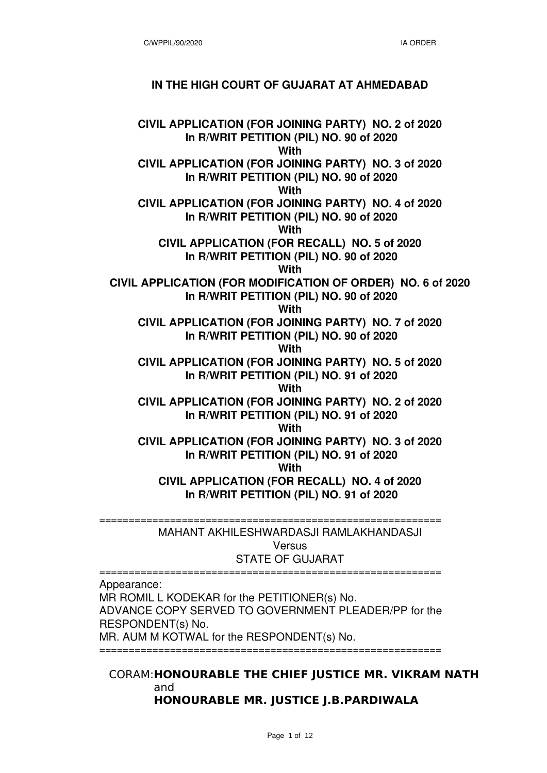### **IN THE HIGH COURT OF GUJARAT AT AHMEDABAD**

**CIVIL APPLICATION (FOR JOINING PARTY) NO. 2 of 2020 In R/WRIT PETITION (PIL) NO. 90 of 2020 With CIVIL APPLICATION (FOR JOINING PARTY) NO. 3 of 2020 In R/WRIT PETITION (PIL) NO. 90 of 2020 With CIVIL APPLICATION (FOR JOINING PARTY) NO. 4 of 2020 In R/WRIT PETITION (PIL) NO. 90 of 2020 With CIVIL APPLICATION (FOR RECALL) NO. 5 of 2020 In R/WRIT PETITION (PIL) NO. 90 of 2020 With CIVIL APPLICATION (FOR MODIFICATION OF ORDER) NO. 6 of 2020 In R/WRIT PETITION (PIL) NO. 90 of 2020 With CIVIL APPLICATION (FOR JOINING PARTY) NO. 7 of 2020 In R/WRIT PETITION (PIL) NO. 90 of 2020 With CIVIL APPLICATION (FOR JOINING PARTY) NO. 5 of 2020 In R/WRIT PETITION (PIL) NO. 91 of 2020 With CIVIL APPLICATION (FOR JOINING PARTY) NO. 2 of 2020 In R/WRIT PETITION (PIL) NO. 91 of 2020 With CIVIL APPLICATION (FOR JOINING PARTY) NO. 3 of 2020 In R/WRIT PETITION (PIL) NO. 91 of 2020 With CIVIL APPLICATION (FOR RECALL) NO. 4 of 2020 In R/WRIT PETITION (PIL) NO. 91 of 2020**

> MAHANT AKHILESHWARDASJI RAMLAKHANDASJI **Versus** STATE OF GUJARAT

==========================================================

Appearance:

MR ROMIL L KODEKAR for the PETITIONER(s) No. ADVANCE COPY SERVED TO GOVERNMENT PLEADER/PP for the RESPONDENT(s) No. MR. AUM M KOTWAL for the RESPONDENT(s) No.

==========================================================

==========================================================

#### CORAM: **HONOURABLE THE CHIEF JUSTICE MR. VIKRAM NATH** and **HONOURABLE MR. JUSTICE J.B.PARDIWALA**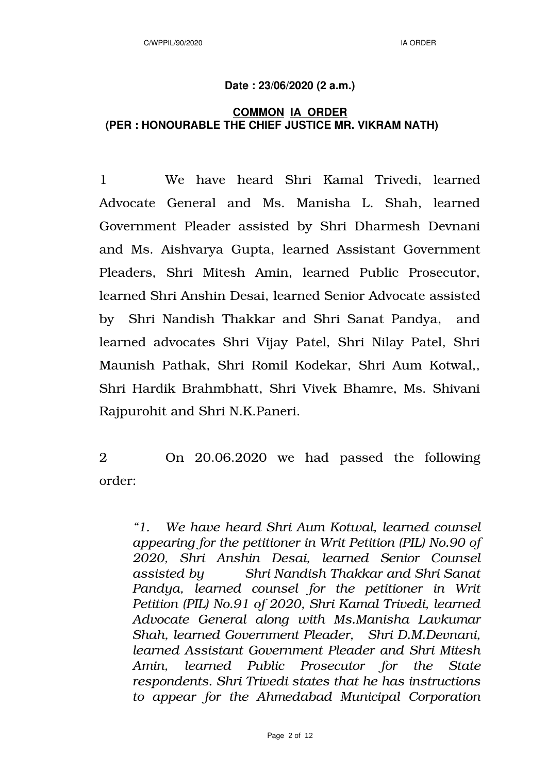## **Date : 23/06/2020 (2 a.m.)**

# **COMMON IA ORDER (PER : HONOURABLE THE CHIEF JUSTICE MR. VIKRAM NATH)**

1 We have heard Shri Kamal Trivedi, learned Advocate General and Ms. Manisha L. Shah, learned Government Pleader assisted by Shri Dharmesh Devnani and Ms. Aishvarya Gupta, learned Assistant Government Pleaders, Shri Mitesh Amin, learned Public Prosecutor, learned Shri Anshin Desai, learned Senior Advocate assisted by Shri Nandish Thakkar and Shri Sanat Pandya, and learned advocates Shri Vijay Patel, Shri Nilay Patel, Shri Maunish Pathak, Shri Romil Kodekar, Shri Aum Kotwal,, Shri Hardik Brahmbhatt, Shri Vivek Bhamre, Ms. Shivani Rajpurohit and Shri N.K.Paneri.

2 On 20.06.2020 we had passed the following order:

*"1. We have heard Shri Aum Kotwal, learned counsel appearing for the petitioner in Writ Petition (PIL) No.90 of 2020, Shri Anshin Desai, learned Senior Counsel assisted by Shri Nandish Thakkar and Shri Sanat Pandya, learned counsel for the petitioner in Writ Petition (PIL) No.91 of 2020, Shri Kamal Trivedi, learned Advocate General along with Ms.Manisha Lavkumar Shah, learned Government Pleader, Shri D.M.Devnani, learned Assistant Government Pleader and Shri Mitesh Amin, learned Public Prosecutor for the State respondents. Shri Trivedi states that he has instructions to appear for the Ahmedabad Municipal Corporation*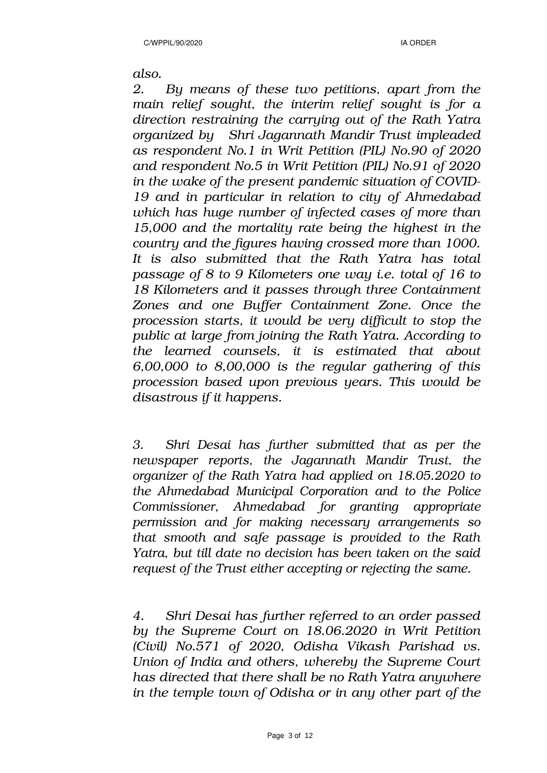*also.*

*2. By means of these two petitions, apart from the main relief sought, the interim relief sought is for a direction restraining the carrying out of the Rath Yatra organized by Shri Jagannath Mandir Trust impleaded as respondent No.1 in Writ Petition (PIL) No.90 of 2020 and respondent No.5 in Writ Petition (PIL) No.91 of 2020 in the wake of the present pandemic situation of COVID-19 and in particular in relation to city of Ahmedabad which has huge number of infected cases of more than 15,000 and the mortality rate being the highest in the country and the figures having crossed more than 1000. It is also submitted that the Rath Yatra has total passage of 8 to 9 Kilometers one way i.e. total of 16 to 18 Kilometers and it passes through three Containment Zones and one Buffer Containment Zone. Once the procession starts, it would be very difficult to stop the public at large from joining the Rath Yatra. According to the learned counsels, it is estimated that about 6,00,000 to 8,00,000 is the regular gathering of this procession based upon previous years. This would be disastrous if it happens.*

*3. Shri Desai has further submitted that as per the newspaper reports, the Jagannath Mandir Trust, the organizer of the Rath Yatra had applied on 18.05.2020 to the Ahmedabad Municipal Corporation and to the Police Commissioner, Ahmedabad for granting appropriate permission and for making necessary arrangements so that smooth and safe passage is provided to the Rath Yatra, but till date no decision has been taken on the said request of the Trust either accepting or rejecting the same.*

*4. Shri Desai has further referred to an order passed by the Supreme Court on 18.06.2020 in Writ Petition (Civil) No.571 of 2020, Odisha Vikash Parishad vs. Union of India and others, whereby the Supreme Court has directed that there shall be no Rath Yatra anywhere in the temple town of Odisha or in any other part of the*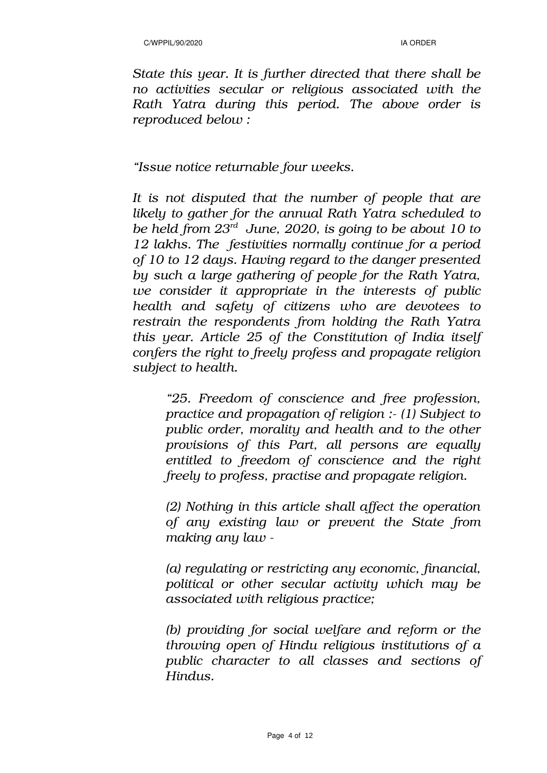*State this year. It is further directed that there shall be no activities secular or religious associated with the Rath Yatra during this period. The above order is reproduced below :*

## *"Issue notice returnable four weeks.*

*It is not disputed that the number of people that are likely to gather for the annual Rath Yatra scheduled to be held from 23rd June, 2020, is going to be about 10 to 12 lakhs. The festivities normally continue for a period of 10 to 12 days. Having regard to the danger presented by such a large gathering of people for the Rath Yatra, we consider it appropriate in the interests of public health and safety of citizens who are devotees to restrain the respondents from holding the Rath Yatra this year. Article 25 of the Constitution of India itself confers the right to freely profess and propagate religion subject to health.* 

*"25. Freedom of conscience and free profession, practice and propagation of religion :- (1) Subject to public order, morality and health and to the other provisions of this Part, all persons are equally entitled to freedom of conscience and the right freely to profess, practise and propagate religion.*

*(2) Nothing in this article shall affect the operation of any existing law or prevent the State from making any law -*

*(a) regulating or restricting any economic, financial, political or other secular activity which may be associated with religious practice;* 

*(b) providing for social welfare and reform or the throwing open of Hindu religious institutions of a public character to all classes and sections of Hindus.*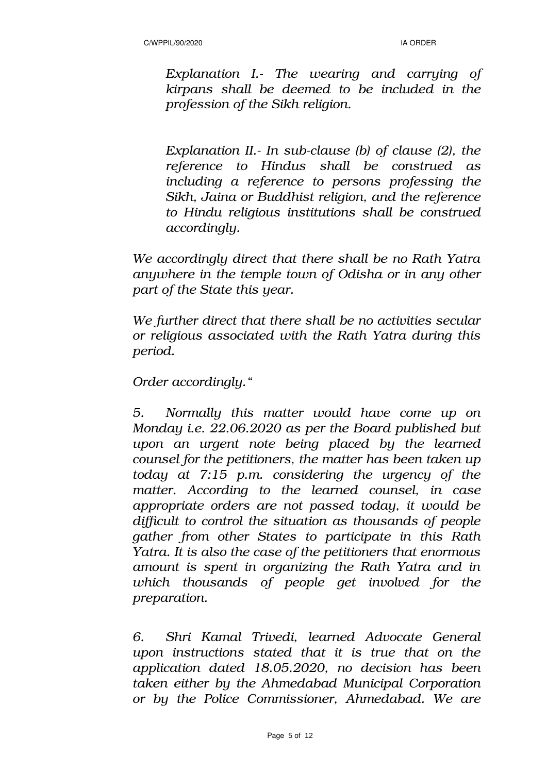*Explanation I.- The wearing and carrying of kirpans shall be deemed to be included in the profession of the Sikh religion.* 

*Explanation II.- In sub-clause (b) of clause (2), the reference to Hindus shall be construed as including a reference to persons professing the Sikh, Jaina or Buddhist religion, and the reference to Hindu religious institutions shall be construed accordingly.* 

*We accordingly direct that there shall be no Rath Yatra anywhere in the temple town of Odisha or in any other part of the State this year.* 

*We further direct that there shall be no activities secular or religious associated with the Rath Yatra during this period.* 

*Order accordingly."*

*5. Normally this matter would have come up on Monday i.e. 22.06.2020 as per the Board published but upon an urgent note being placed by the learned counsel for the petitioners, the matter has been taken up today at 7:15 p.m. considering the urgency of the matter. According to the learned counsel, in case appropriate orders are not passed today, it would be difficult to control the situation as thousands of people gather from other States to participate in this Rath Yatra. It is also the case of the petitioners that enormous amount is spent in organizing the Rath Yatra and in which thousands of people get involved for the preparation.*

*6. Shri Kamal Trivedi, learned Advocate General upon instructions stated that it is true that on the application dated 18.05.2020, no decision has been taken either by the Ahmedabad Municipal Corporation or by the Police Commissioner, Ahmedabad. We are*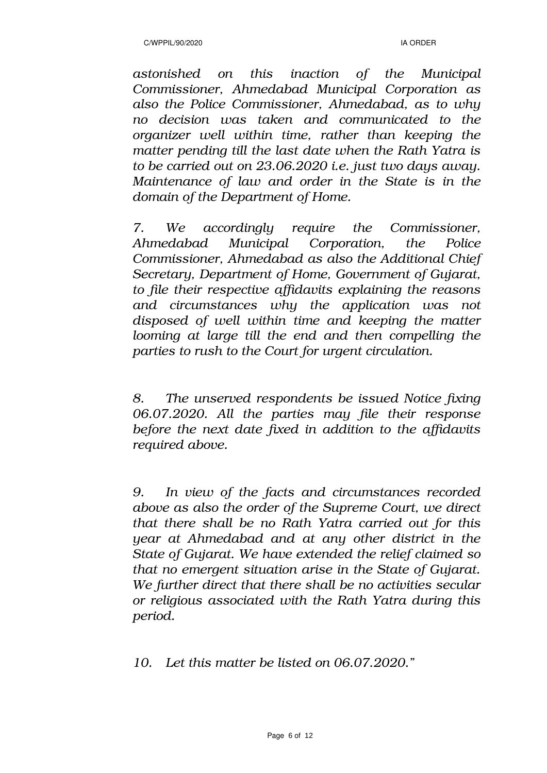*astonished on this inaction of the Municipal Commissioner, Ahmedabad Municipal Corporation as also the Police Commissioner, Ahmedabad, as to why no decision was taken and communicated to the organizer well within time, rather than keeping the matter pending till the last date when the Rath Yatra is to be carried out on 23.06.2020 i.e. just two days away. Maintenance of law and order in the State is in the domain of the Department of Home.*

*7. We accordingly require the Commissioner, Ahmedabad Municipal Corporation, the Police Commissioner, Ahmedabad as also the Additional Chief Secretary, Department of Home, Government of Gujarat, to file their respective affidavits explaining the reasons and circumstances why the application was not disposed of well within time and keeping the matter looming at large till the end and then compelling the parties to rush to the Court for urgent circulation.* 

*8. The unserved respondents be issued Notice fixing 06.07.2020. All the parties may file their response before the next date fixed in addition to the affidavits required above.*

*9. In view of the facts and circumstances recorded above as also the order of the Supreme Court, we direct that there shall be no Rath Yatra carried out for this year at Ahmedabad and at any other district in the State of Gujarat. We have extended the relief claimed so that no emergent situation arise in the State of Gujarat. We further direct that there shall be no activities secular or religious associated with the Rath Yatra during this period.*

*10. Let this matter be listed on 06.07.2020."*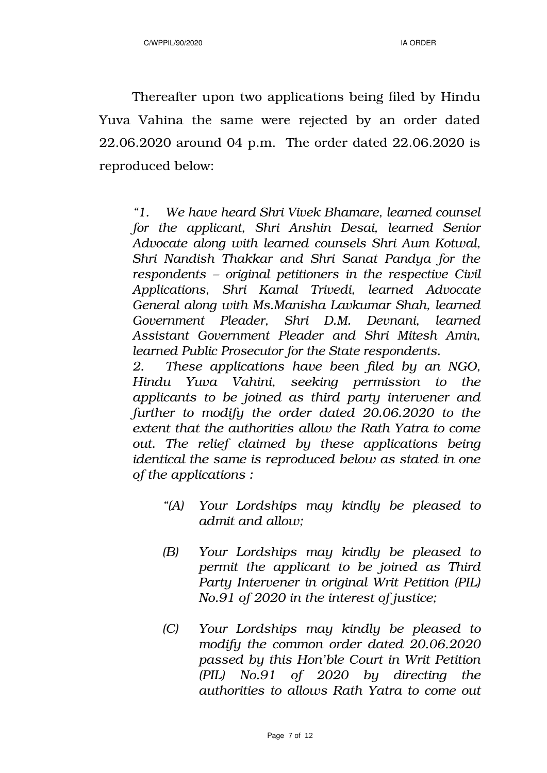Thereafter upon two applications being filed by Hindu Yuva Vahina the same were rejected by an order dated 22.06.2020 around 04 p.m. The order dated 22.06.2020 is reproduced below:

*"1. We have heard Shri Vivek Bhamare, learned counsel for the applicant, Shri Anshin Desai, learned Senior Advocate along with learned counsels Shri Aum Kotwal, Shri Nandish Thakkar and Shri Sanat Pandya for the respondents – original petitioners in the respective Civil Applications, Shri Kamal Trivedi, learned Advocate General along with Ms.Manisha Lavkumar Shah, learned Government Pleader, Shri D.M. Devnani, learned Assistant Government Pleader and Shri Mitesh Amin, learned Public Prosecutor for the State respondents.*

*2. These applications have been filed by an NGO, Hindu Yuva Vahini, seeking permission to the applicants to be joined as third party intervener and further to modify the order dated 20.06.2020 to the extent that the authorities allow the Rath Yatra to come out. The relief claimed by these applications being identical the same is reproduced below as stated in one of the applications :*

- *"(A) Your Lordships may kindly be pleased to admit and allow;*
- *(B) Your Lordships may kindly be pleased to permit the applicant to be joined as Third Party Intervener in original Writ Petition (PIL) No.91 of 2020 in the interest of justice;*
- *(C) Your Lordships may kindly be pleased to modify the common order dated 20.06.2020 passed by this Hon'ble Court in Writ Petition (PIL) No.91 of 2020 by directing the authorities to allows Rath Yatra to come out*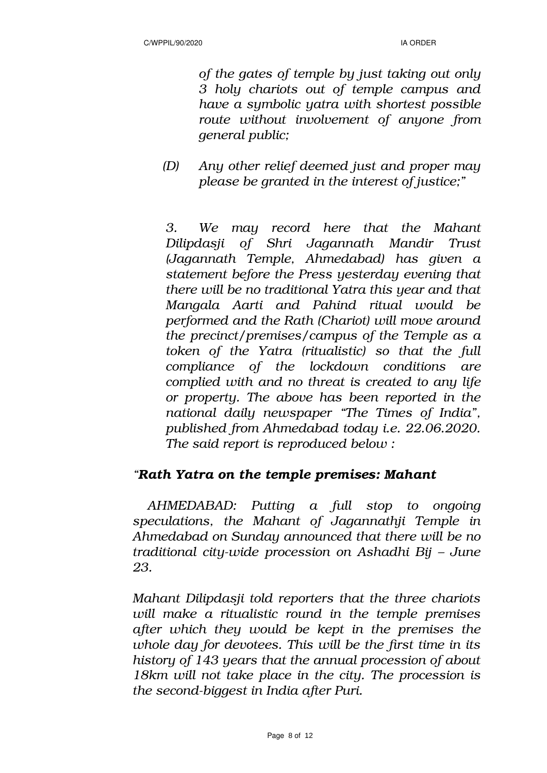*of the gates of temple by just taking out only 3 holy chariots out of temple campus and have a symbolic yatra with shortest possible route without involvement of anyone from general public;*

*(D) Any other relief deemed just and proper may please be granted in the interest of justice;"*

*3. We may record here that the Mahant Dilipdasji of Shri Jagannath Mandir Trust (Jagannath Temple, Ahmedabad) has given a statement before the Press yesterday evening that there will be no traditional Yatra this year and that Mangala Aarti and Pahind ritual would be performed and the Rath (Chariot) will move around the precinct/premises/campus of the Temple as a token of the Yatra (ritualistic) so that the full compliance of the lockdown conditions are complied with and no threat is created to any life or property. The above has been reported in the national daily newspaper "The Times of India", published from Ahmedabad today i.e. 22.06.2020. The said report is reproduced below :*

# *"Rath Yatra on the temple premises: Mahant*

 *AHMEDABAD: Putting a full stop to ongoing speculations, the Mahant of Jagannathji Temple in Ahmedabad on Sunday announced that there will be no traditional city-wide procession on Ashadhi Bij – June 23.*

*Mahant Dilipdasji told reporters that the three chariots will make a ritualistic round in the temple premises after which they would be kept in the premises the whole day for devotees. This will be the first time in its history of 143 years that the annual procession of about 18km will not take place in the city. The procession is the second-biggest in India after Puri.*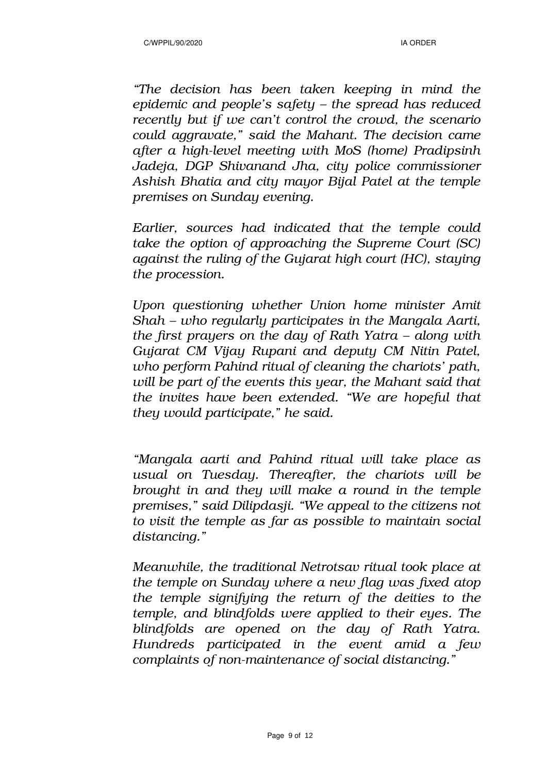*"The decision has been taken keeping in mind the epidemic and people's safety – the spread has reduced recently but if we can't control the crowd, the scenario could aggravate," said the Mahant. The decision came after a high-level meeting with MoS (home) Pradipsinh Jadeja, DGP Shivanand Jha, city police commissioner Ashish Bhatia and city mayor Bijal Patel at the temple premises on Sunday evening.*

*Earlier, sources had indicated that the temple could take the option of approaching the Supreme Court (SC) against the ruling of the Gujarat high court (HC), staying the procession.* 

*Upon questioning whether Union home minister Amit Shah – who regularly participates in the Mangala Aarti, the first prayers on the day of Rath Yatra – along with Gujarat CM Vijay Rupani and deputy CM Nitin Patel, who perform Pahind ritual of cleaning the chariots' path, will be part of the events this year, the Mahant said that the invites have been extended. "We are hopeful that they would participate," he said.*

*"Mangala aarti and Pahind ritual will take place as usual on Tuesday. Thereafter, the chariots will be brought in and they will make a round in the temple premises," said Dilipdasji. "We appeal to the citizens not to visit the temple as far as possible to maintain social distancing."*

*Meanwhile, the traditional Netrotsav ritual took place at the temple on Sunday where a new flag was fixed atop the temple signifying the return of the deities to the temple, and blindfolds were applied to their eyes. The blindfolds are opened on the day of Rath Yatra. Hundreds participated in the event amid a few complaints of non-maintenance of social distancing."*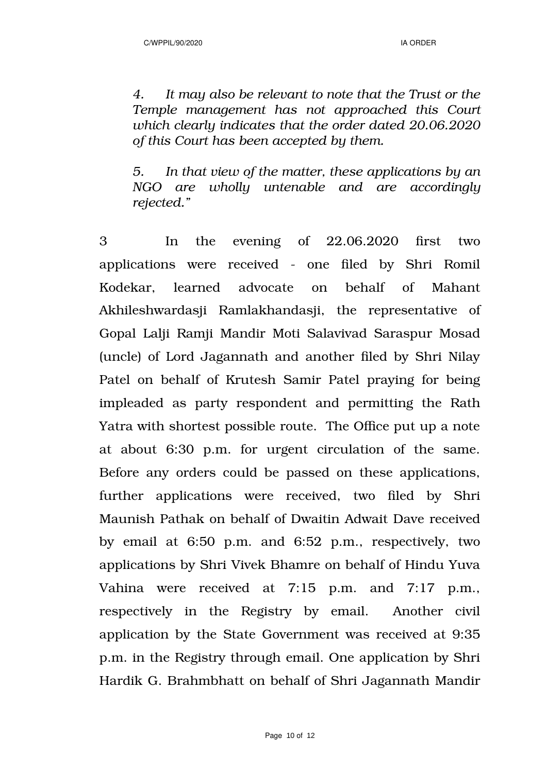*4. It may also be relevant to note that the Trust or the Temple management has not approached this Court which clearly indicates that the order dated 20.06.2020 of this Court has been accepted by them.*

*5. In that view of the matter, these applications by an NGO are wholly untenable and are accordingly rejected."*

3 In the evening of 22.06.2020 first two applications were received - one filed by Shri Romil Kodekar, learned advocate on behalf of Mahant Akhileshwardasji Ramlakhandasji, the representative of Gopal Lalji Ramji Mandir Moti Salavivad Saraspur Mosad (uncle) of Lord Jagannath and another filed by Shri Nilay Patel on behalf of Krutesh Samir Patel praying for being impleaded as party respondent and permitting the Rath Yatra with shortest possible route. The Office put up a note at about 6:30 p.m. for urgent circulation of the same. Before any orders could be passed on these applications, further applications were received, two filed by Shri Maunish Pathak on behalf of Dwaitin Adwait Dave received by email at 6:50 p.m. and 6:52 p.m., respectively, two applications by Shri Vivek Bhamre on behalf of Hindu Yuva Vahina were received at 7:15 p.m. and 7:17 p.m., respectively in the Registry by email. Another civil application by the State Government was received at 9:35 p.m. in the Registry through email. One application by Shri Hardik G. Brahmbhatt on behalf of Shri Jagannath Mandir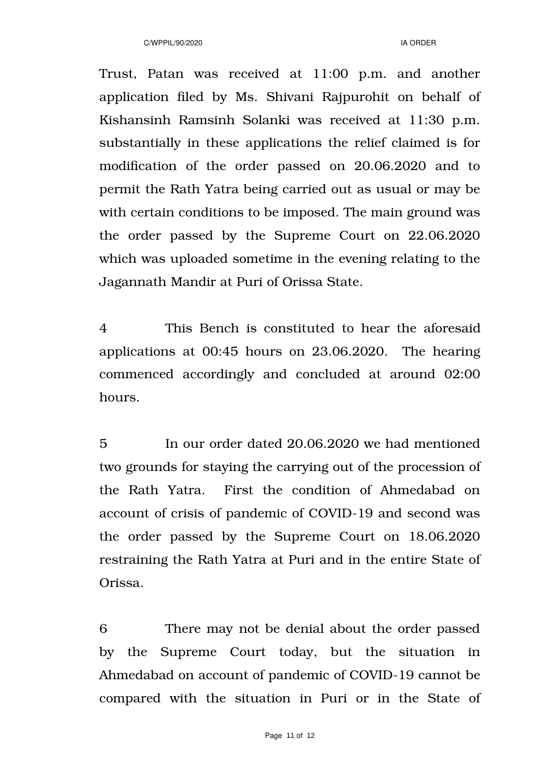Trust, Patan was received at 11:00 p.m. and another application filed by Ms. Shivani Rajpurohit on behalf of Kishansinh Ramsinh Solanki was received at 11:30 p.m. substantially in these applications the relief claimed is for modification of the order passed on 20.06.2020 and to permit the Rath Yatra being carried out as usual or may be with certain conditions to be imposed. The main ground was the order passed by the Supreme Court on 22.06.2020 which was uploaded sometime in the evening relating to the Jagannath Mandir at Puri of Orissa State.

4 This Bench is constituted to hear the aforesaid applications at 00:45 hours on 23.06.2020. The hearing commenced accordingly and concluded at around 02:00 hours.

5 In our order dated 20.06.2020 we had mentioned two grounds for staying the carrying out of the procession of the Rath Yatra. First the condition of Ahmedabad on account of crisis of pandemic of COVID-19 and second was the order passed by the Supreme Court on 18.06.2020 restraining the Rath Yatra at Puri and in the entire State of Orissa.

6 There may not be denial about the order passed by the Supreme Court today, but the situation in Ahmedabad on account of pandemic of COVID-19 cannot be compared with the situation in Puri or in the State of